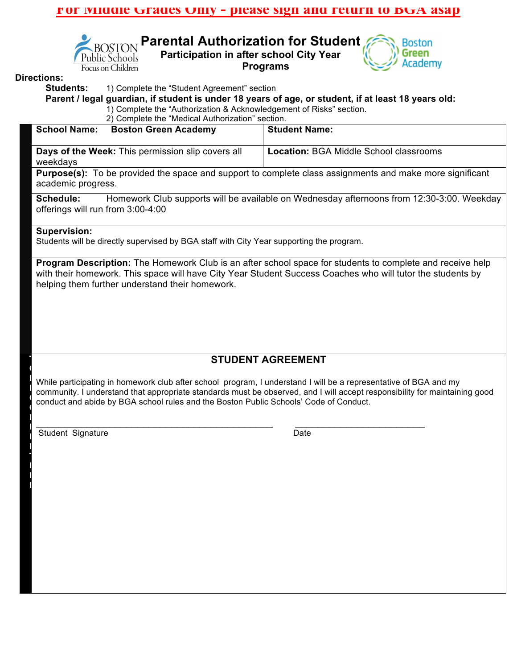## **For Middle Grades Only - please sign and return to BGA asap**



**Parental Authorization for Student Participation in after school City Year Programs** 



#### **Directions:**

**Students:** 1) Complete the "Student Agreement" section

**Parent / legal guardian, if student is under 18 years of age, or student, if at least 18 years old:** 1) Complete the "Authorization & Acknowledgement of Risks" section.

2) Complete the "Medical Authorization" section.

| <b>Boston Green Academy</b><br><b>School Name:</b>                                                              | <b>Student Name:</b>                          |
|-----------------------------------------------------------------------------------------------------------------|-----------------------------------------------|
| Days of the Week: This permission slip covers all<br>weekdays                                                   | <b>Location: BGA Middle School classrooms</b> |
| <b>Purpose(s):</b> To be provided the space and support to complete class assignments and make more significant |                                               |

academic progress.

**Schedule:** Homework Club supports will be available on Wednesday afternoons from 12:30-3:00. Weekday offerings will run from 3:00-4:00

#### **Supervision:**

Students will be directly supervised by BGA staff with City Year supporting the program.

**Program Description:** The Homework Club is an after school space for students to complete and receive help with their homework. This space will have City Year Student Success Coaches who will tutor the students by helping them further understand their homework.

# **STUDENT AGREEMENT**

**EXAMPLE COMMUNITY CONSULTER CONSULTER** COMMUNITY COMMUNITY COMMUNITY COMMUNITY COMMUNITY COMMUNITY COMMUNITY COMMUNITY COMMUNITY COMMUNITY COMMUNITY COMMUNITY COMMUNITY COMMUNITY COMMUNITY COMMUNITY COMMUNITY OF DEVICENCY **O** While participating in homework club after school program, I understand I will be a representative of BGA and my conduct and abide by BGA school rules and the Boston Public Schools' Code of Conduct.

 $\mathcal{L}_\text{max}$  , and the contract of the contract of the contract of the contract of the contract of the contract of the contract of the contract of the contract of the contract of the contract of the contract of the contr

Student Signature Date

**T O B**

**C**

**M P L E T E D B**